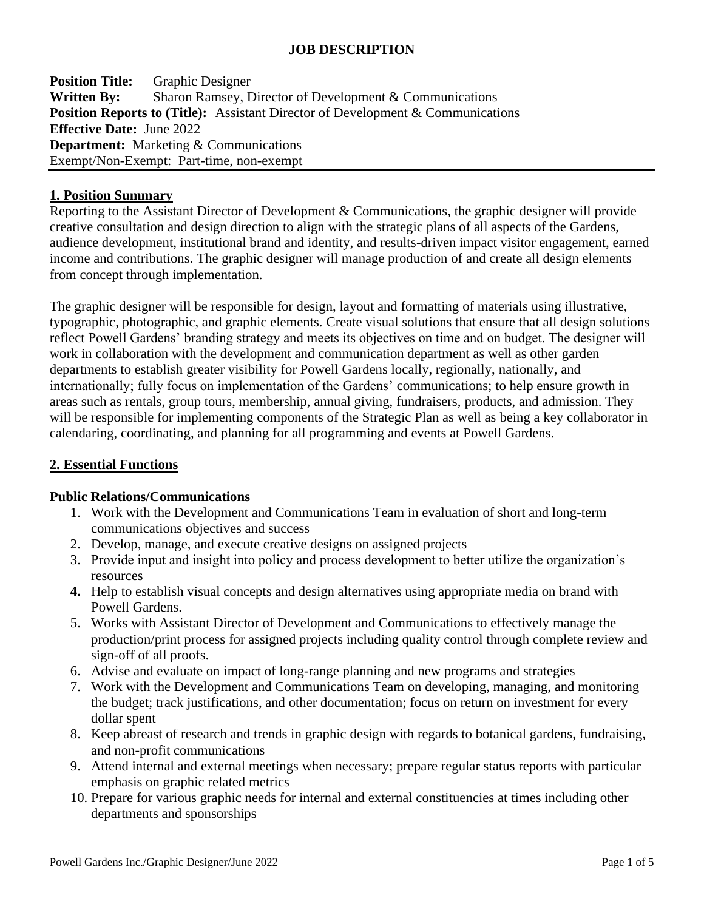# **JOB DESCRIPTION**

**Position Title:** Graphic Designer **Written By:** Sharon Ramsey, Director of Development & Communications **Position Reports to (Title):** Assistant Director of Development & Communications **Effective Date:** June 2022 **Department:** Marketing & Communications Exempt/Non-Exempt: Part-time, non-exempt

#### **1. Position Summary**

Reporting to the Assistant Director of Development & Communications, the graphic designer will provide creative consultation and design direction to align with the strategic plans of all aspects of the Gardens, audience development, institutional brand and identity, and results-driven impact visitor engagement, earned income and contributions. The graphic designer will manage production of and create all design elements from concept through implementation.

The graphic designer will be responsible for design, layout and formatting of materials using illustrative, typographic, photographic, and graphic elements. Create visual solutions that ensure that all design solutions reflect Powell Gardens' branding strategy and meets its objectives on time and on budget. The designer will work in collaboration with the development and communication department as well as other garden departments to establish greater visibility for Powell Gardens locally, regionally, nationally, and internationally; fully focus on implementation of the Gardens' communications; to help ensure growth in areas such as rentals, group tours, membership, annual giving, fundraisers, products, and admission. They will be responsible for implementing components of the Strategic Plan as well as being a key collaborator in calendaring, coordinating, and planning for all programming and events at Powell Gardens.

#### **2. Essential Functions**

#### **Public Relations/Communications**

- 1. Work with the Development and Communications Team in evaluation of short and long-term communications objectives and success
- 2. Develop, manage, and execute creative designs on assigned projects
- 3. Provide input and insight into policy and process development to better utilize the organization's resources
- **4.** Help to establish visual concepts and design alternatives using appropriate media on brand with Powell Gardens.
- 5. Works with Assistant Director of Development and Communications to effectively manage the production/print process for assigned projects including quality control through complete review and sign-off of all proofs.
- 6. Advise and evaluate on impact of long-range planning and new programs and strategies
- 7. Work with the Development and Communications Team on developing, managing, and monitoring the budget; track justifications, and other documentation; focus on return on investment for every dollar spent
- 8. Keep abreast of research and trends in graphic design with regards to botanical gardens, fundraising, and non-profit communications
- 9. Attend internal and external meetings when necessary; prepare regular status reports with particular emphasis on graphic related metrics
- 10. Prepare for various graphic needs for internal and external constituencies at times including other departments and sponsorships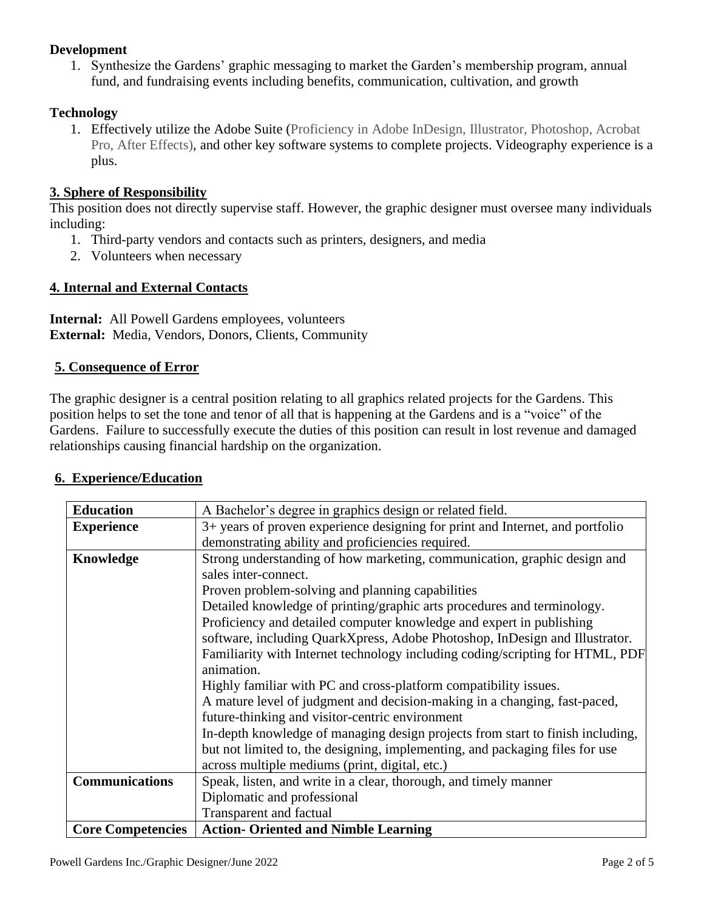# **Development**

1. Synthesize the Gardens' graphic messaging to market the Garden's membership program, annual fund, and fundraising events including benefits, communication, cultivation, and growth

## **Technology**

1. Effectively utilize the Adobe Suite (Proficiency in Adobe InDesign, Illustrator, Photoshop, Acrobat Pro, After Effects), and other key software systems to complete projects. Videography experience is a plus.

## **3. Sphere of Responsibility**

This position does not directly supervise staff. However, the graphic designer must oversee many individuals including:

- 1. Third-party vendors and contacts such as printers, designers, and media
- 2. Volunteers when necessary

## **4. Internal and External Contacts**

**Internal:** All Powell Gardens employees, volunteers **External:** Media, Vendors, Donors, Clients, Community

## **5. Consequence of Error**

The graphic designer is a central position relating to all graphics related projects for the Gardens. This position helps to set the tone and tenor of all that is happening at the Gardens and is a "voice" of the Gardens. Failure to successfully execute the duties of this position can result in lost revenue and damaged relationships causing financial hardship on the organization.

| <b>6. Experience/Education</b> |
|--------------------------------|
|--------------------------------|

| <b>Education</b>         | A Bachelor's degree in graphics design or related field.                       |
|--------------------------|--------------------------------------------------------------------------------|
| <b>Experience</b>        | 3+ years of proven experience designing for print and Internet, and portfolio  |
|                          | demonstrating ability and proficiencies required.                              |
| Knowledge                | Strong understanding of how marketing, communication, graphic design and       |
|                          | sales inter-connect.                                                           |
|                          | Proven problem-solving and planning capabilities                               |
|                          | Detailed knowledge of printing/graphic arts procedures and terminology.        |
|                          | Proficiency and detailed computer knowledge and expert in publishing           |
|                          | software, including QuarkXpress, Adobe Photoshop, InDesign and Illustrator.    |
|                          | Familiarity with Internet technology including coding/scripting for HTML, PDF  |
|                          | animation.                                                                     |
|                          | Highly familiar with PC and cross-platform compatibility issues.               |
|                          | A mature level of judgment and decision-making in a changing, fast-paced,      |
|                          | future-thinking and visitor-centric environment                                |
|                          | In-depth knowledge of managing design projects from start to finish including, |
|                          | but not limited to, the designing, implementing, and packaging files for use   |
|                          | across multiple mediums (print, digital, etc.)                                 |
| <b>Communications</b>    | Speak, listen, and write in a clear, thorough, and timely manner               |
|                          | Diplomatic and professional                                                    |
|                          | <b>Transparent and factual</b>                                                 |
| <b>Core Competencies</b> | <b>Action- Oriented and Nimble Learning</b>                                    |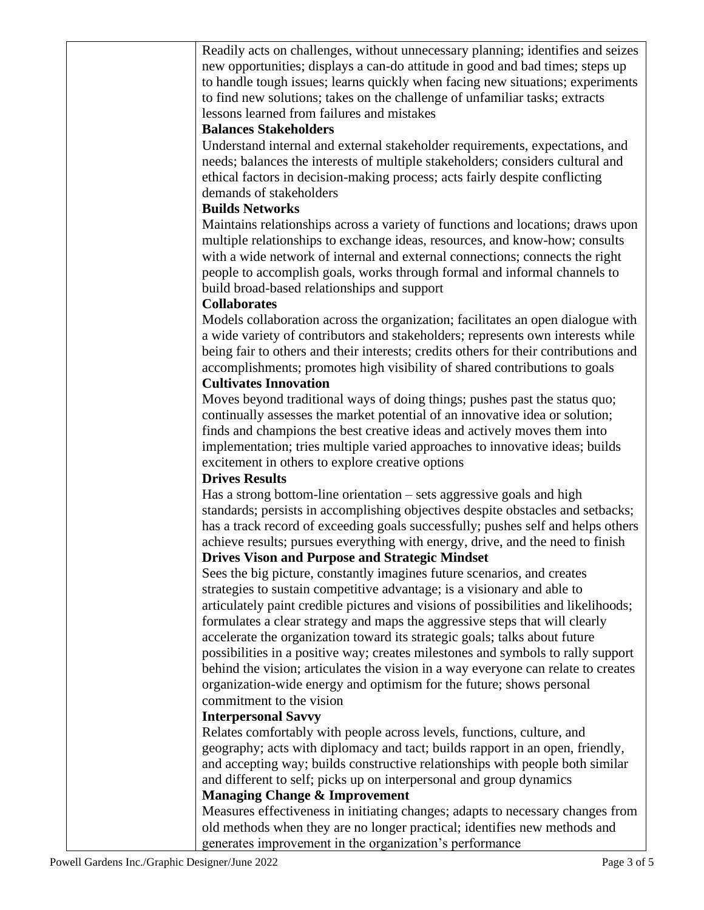| Readily acts on challenges, without unnecessary planning; identifies and seizes      |
|--------------------------------------------------------------------------------------|
| new opportunities; displays a can-do attitude in good and bad times; steps up        |
| to handle tough issues; learns quickly when facing new situations; experiments       |
| to find new solutions; takes on the challenge of unfamiliar tasks; extracts          |
| lessons learned from failures and mistakes                                           |
| <b>Balances Stakeholders</b>                                                         |
| Understand internal and external stakeholder requirements, expectations, and         |
| needs; balances the interests of multiple stakeholders; considers cultural and       |
| ethical factors in decision-making process; acts fairly despite conflicting          |
| demands of stakeholders                                                              |
| <b>Builds Networks</b>                                                               |
|                                                                                      |
| Maintains relationships across a variety of functions and locations; draws upon      |
| multiple relationships to exchange ideas, resources, and know-how; consults          |
| with a wide network of internal and external connections; connects the right         |
| people to accomplish goals, works through formal and informal channels to            |
| build broad-based relationships and support                                          |
| <b>Collaborates</b>                                                                  |
| Models collaboration across the organization; facilitates an open dialogue with      |
| a wide variety of contributors and stakeholders; represents own interests while      |
| being fair to others and their interests; credits others for their contributions and |
| accomplishments; promotes high visibility of shared contributions to goals           |
| <b>Cultivates Innovation</b>                                                         |
| Moves beyond traditional ways of doing things; pushes past the status quo;           |
| continually assesses the market potential of an innovative idea or solution;         |
| finds and champions the best creative ideas and actively moves them into             |
| implementation; tries multiple varied approaches to innovative ideas; builds         |
| excitement in others to explore creative options                                     |
| <b>Drives Results</b>                                                                |
| Has a strong bottom-line orientation $-$ sets aggressive goals and high              |
| standards; persists in accomplishing objectives despite obstacles and setbacks;      |
| has a track record of exceeding goals successfully; pushes self and helps others     |
| achieve results; pursues everything with energy, drive, and the need to finish       |
| <b>Drives Vison and Purpose and Strategic Mindset</b>                                |
| Sees the big picture, constantly imagines future scenarios, and creates              |
| strategies to sustain competitive advantage; is a visionary and able to              |
| articulately paint credible pictures and visions of possibilities and likelihoods;   |
| formulates a clear strategy and maps the aggressive steps that will clearly          |
| accelerate the organization toward its strategic goals; talks about future           |
| possibilities in a positive way; creates milestones and symbols to rally support     |
| behind the vision; articulates the vision in a way everyone can relate to creates    |
| organization-wide energy and optimism for the future; shows personal                 |
| commitment to the vision                                                             |
| <b>Interpersonal Savvy</b>                                                           |
| Relates comfortably with people across levels, functions, culture, and               |
|                                                                                      |
| geography; acts with diplomacy and tact; builds rapport in an open, friendly,        |
| and accepting way; builds constructive relationships with people both similar        |
| and different to self; picks up on interpersonal and group dynamics                  |
| <b>Managing Change &amp; Improvement</b>                                             |
| Measures effectiveness in initiating changes; adapts to necessary changes from       |
| old methods when they are no longer practical; identifies new methods and            |
| generates improvement in the organization's performance                              |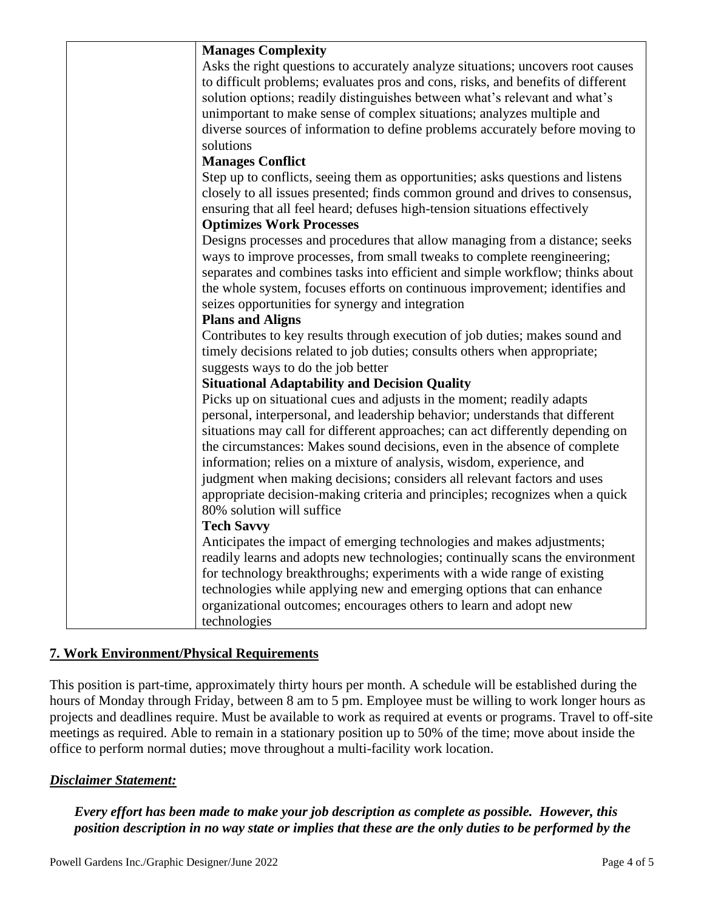| <b>Manages Complexity</b>                                                                                                                                       |
|-----------------------------------------------------------------------------------------------------------------------------------------------------------------|
| Asks the right questions to accurately analyze situations; uncovers root causes                                                                                 |
| to difficult problems; evaluates pros and cons, risks, and benefits of different                                                                                |
| solution options; readily distinguishes between what's relevant and what's                                                                                      |
| unimportant to make sense of complex situations; analyzes multiple and                                                                                          |
| diverse sources of information to define problems accurately before moving to                                                                                   |
| solutions                                                                                                                                                       |
| <b>Manages Conflict</b>                                                                                                                                         |
| Step up to conflicts, seeing them as opportunities; asks questions and listens<br>closely to all issues presented; finds common ground and drives to consensus, |
| ensuring that all feel heard; defuses high-tension situations effectively                                                                                       |
| <b>Optimizes Work Processes</b>                                                                                                                                 |
| Designs processes and procedures that allow managing from a distance; seeks                                                                                     |
| ways to improve processes, from small tweaks to complete reengineering;                                                                                         |
| separates and combines tasks into efficient and simple workflow; thinks about                                                                                   |
| the whole system, focuses efforts on continuous improvement; identifies and                                                                                     |
| seizes opportunities for synergy and integration                                                                                                                |
| <b>Plans and Aligns</b>                                                                                                                                         |
| Contributes to key results through execution of job duties; makes sound and                                                                                     |
| timely decisions related to job duties; consults others when appropriate;                                                                                       |
| suggests ways to do the job better                                                                                                                              |
| <b>Situational Adaptability and Decision Quality</b>                                                                                                            |
| Picks up on situational cues and adjusts in the moment; readily adapts                                                                                          |
| personal, interpersonal, and leadership behavior; understands that different                                                                                    |
| situations may call for different approaches; can act differently depending on                                                                                  |
| the circumstances: Makes sound decisions, even in the absence of complete                                                                                       |
| information; relies on a mixture of analysis, wisdom, experience, and                                                                                           |
| judgment when making decisions; considers all relevant factors and uses                                                                                         |
| appropriate decision-making criteria and principles; recognizes when a quick<br>80% solution will suffice                                                       |
| <b>Tech Savvy</b>                                                                                                                                               |
| Anticipates the impact of emerging technologies and makes adjustments;                                                                                          |
| readily learns and adopts new technologies; continually scans the environment                                                                                   |
| for technology breakthroughs; experiments with a wide range of existing                                                                                         |
| technologies while applying new and emerging options that can enhance                                                                                           |
| organizational outcomes; encourages others to learn and adopt new                                                                                               |
| technologies                                                                                                                                                    |

# **7. Work Environment/Physical Requirements**

This position is part-time, approximately thirty hours per month. A schedule will be established during the hours of Monday through Friday, between 8 am to 5 pm. Employee must be willing to work longer hours as projects and deadlines require. Must be available to work as required at events or programs. Travel to off-site meetings as required. Able to remain in a stationary position up to 50% of the time; move about inside the office to perform normal duties; move throughout a multi-facility work location.

# *Disclaimer Statement:*

*Every effort has been made to make your job description as complete as possible. However, this position description in no way state or implies that these are the only duties to be performed by the*